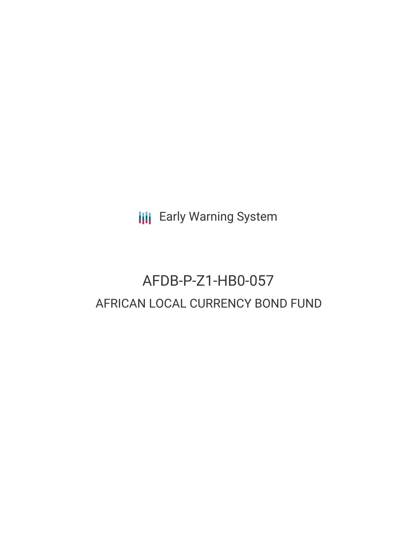**III** Early Warning System

# AFDB-P-Z1-HB0-057 AFRICAN LOCAL CURRENCY BOND FUND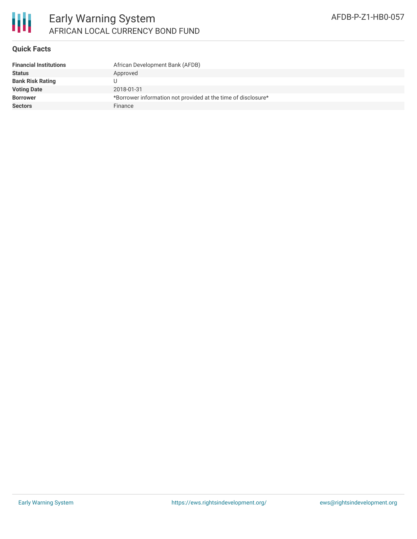

# Early Warning System AFRICAN LOCAL CURRENCY BOND FUND

## **Quick Facts**

| <b>Financial Institutions</b> | African Development Bank (AFDB)                               |
|-------------------------------|---------------------------------------------------------------|
| <b>Status</b>                 | Approved                                                      |
| <b>Bank Risk Rating</b>       |                                                               |
| <b>Voting Date</b>            | 2018-01-31                                                    |
| <b>Borrower</b>               | *Borrower information not provided at the time of disclosure* |
| <b>Sectors</b>                | Finance                                                       |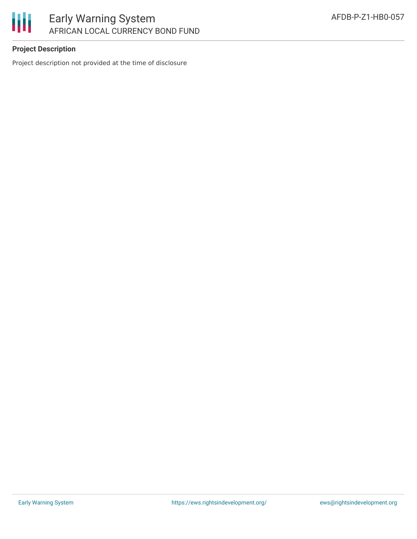

# Early Warning System AFRICAN LOCAL CURRENCY BOND FUND

# **Project Description**

Project description not provided at the time of disclosure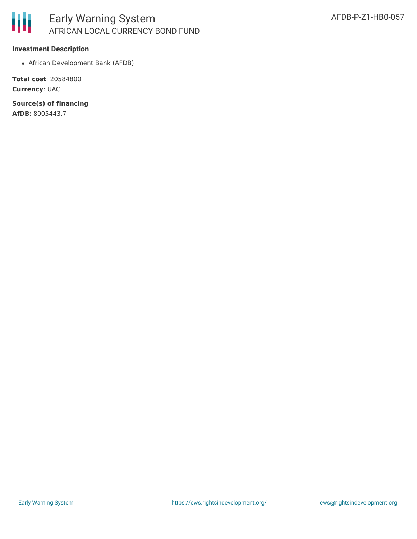

### **Investment Description**

African Development Bank (AFDB)

**Total cost**: 20584800 **Currency**: UAC

**Source(s) of financing**

**AfDB**: 8005443.7